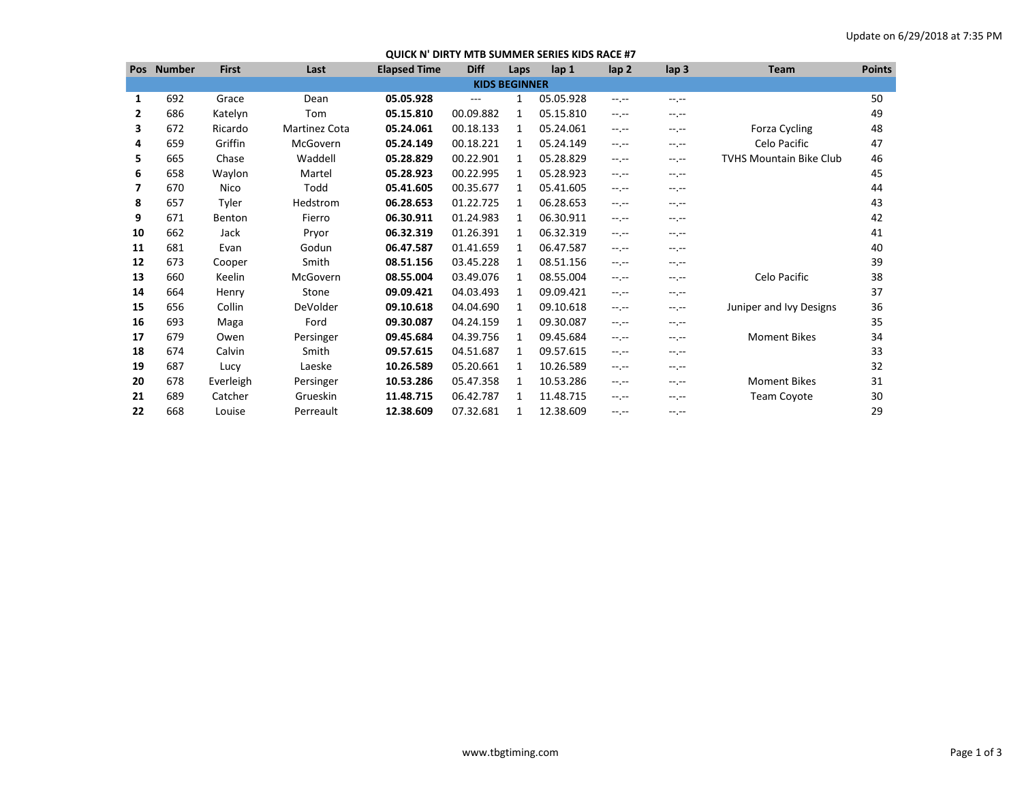## **QUICK N' DIRTY MTB SUMMER SERIES KIDS RACE #7**

| <b>Pos</b>           | <b>Number</b> | <b>First</b> | Last                 | <b>Elapsed Time</b> | <b>Diff</b> | Laps | lap 1     | lap <sub>2</sub> | lap <sub>3</sub> | <b>Team</b>                    | <b>Points</b> |
|----------------------|---------------|--------------|----------------------|---------------------|-------------|------|-----------|------------------|------------------|--------------------------------|---------------|
| <b>KIDS BEGINNER</b> |               |              |                      |                     |             |      |           |                  |                  |                                |               |
| 1                    | 692           | Grace        | Dean                 | 05.05.928           | $---$       | 1    | 05.05.928 | $-1, -1$         | $-1$ .           |                                | 50            |
| 2                    | 686           | Katelyn      | Tom                  | 05.15.810           | 00.09.882   | 1    | 05.15.810 | $-1$ , $-1$      | $-1.1$           |                                | 49            |
| 3                    | 672           | Ricardo      | <b>Martinez Cota</b> | 05.24.061           | 00.18.133   | 1    | 05.24.061 | $-1.1$           | $-1.1$           | Forza Cycling                  | 48            |
| 4                    | 659           | Griffin      | McGovern             | 05.24.149           | 00.18.221   | 1    | 05.24.149 | $-1.1$           | $-1.1$           | Celo Pacific                   | 47            |
| 5                    | 665           | Chase        | Waddell              | 05.28.829           | 00.22.901   | 1    | 05.28.829 | $-1$ , $-1$      | $-1 - 1 - 1 = 0$ | <b>TVHS Mountain Bike Club</b> | 46            |
| 6                    | 658           | Waylon       | Martel               | 05.28.923           | 00.22.995   | 1    | 05.28.923 | $-1.1$           | $-1.1 -$         |                                | 45            |
|                      | 670           | Nico         | Todd                 | 05.41.605           | 00.35.677   | 1    | 05.41.605 | $-1.1$           | $-1.1$           |                                | 44            |
| 8                    | 657           | Tyler        | Hedstrom             | 06.28.653           | 01.22.725   | 1    | 06.28.653 | $-1.1$           | $-1$ .           |                                | 43            |
| 9                    | 671           | Benton       | Fierro               | 06.30.911           | 01.24.983   | 1    | 06.30.911 | $-1.1$           | $-1.1$           |                                | 42            |
| 10                   | 662           | Jack         | Pryor                | 06.32.319           | 01.26.391   | 1    | 06.32.319 | $-1.1$           | $-1.1$           |                                | 41            |
| 11                   | 681           | Evan         | Godun                | 06.47.587           | 01.41.659   | 1    | 06.47.587 | $-1$ , $-1$      | $-1.1 -$         |                                | 40            |
| 12                   | 673           | Cooper       | Smith                | 08.51.156           | 03.45.228   | 1    | 08.51.156 | $-1.1$           | $-1.1$           |                                | 39            |
| 13                   | 660           | Keelin       | McGovern             | 08.55.004           | 03.49.076   | 1    | 08.55.004 | $-1.1$           | $-1.1$           | Celo Pacific                   | 38            |
| 14                   | 664           | Henry        | Stone                | 09.09.421           | 04.03.493   | 1    | 09.09.421 | $-1, -1$         | $-1 - 1 - 1 = 0$ |                                | 37            |
| 15                   | 656           | Collin       | DeVolder             | 09.10.618           | 04.04.690   | 1    | 09.10.618 | $-1.1 - 1.0$     | $-1.1 -$         | Juniper and Ivy Designs        | 36            |
| 16                   | 693           | Maga         | Ford                 | 09.30.087           | 04.24.159   | 1    | 09.30.087 | $-1.1$           | $-1.1 -$         |                                | 35            |
| 17                   | 679           | Owen         | Persinger            | 09.45.684           | 04.39.756   | 1    | 09.45.684 | $-1$             | --.--            | <b>Moment Bikes</b>            | 34            |
| 18                   | 674           | Calvin       | Smith                | 09.57.615           | 04.51.687   | 1    | 09.57.615 | $-1.1$           | $-1.1$           |                                | 33            |
| 19                   | 687           | Lucy         | Laeske               | 10.26.589           | 05.20.661   | 1    | 10.26.589 | $-1.1$           | $-1$ .           |                                | 32            |
| 20                   | 678           | Everleigh    | Persinger            | 10.53.286           | 05.47.358   | 1    | 10.53.286 | $-1.1$           | $-1.1$           | <b>Moment Bikes</b>            | 31            |
| 21                   | 689           | Catcher      | Grueskin             | 11.48.715           | 06.42.787   | 1    | 11.48.715 | $-1.1$           | --.--            | <b>Team Coyote</b>             | 30            |
| 22                   | 668           | Louise       | Perreault            | 12.38.609           | 07.32.681   | 1    | 12.38.609 | $-1$             | --.--            |                                | 29            |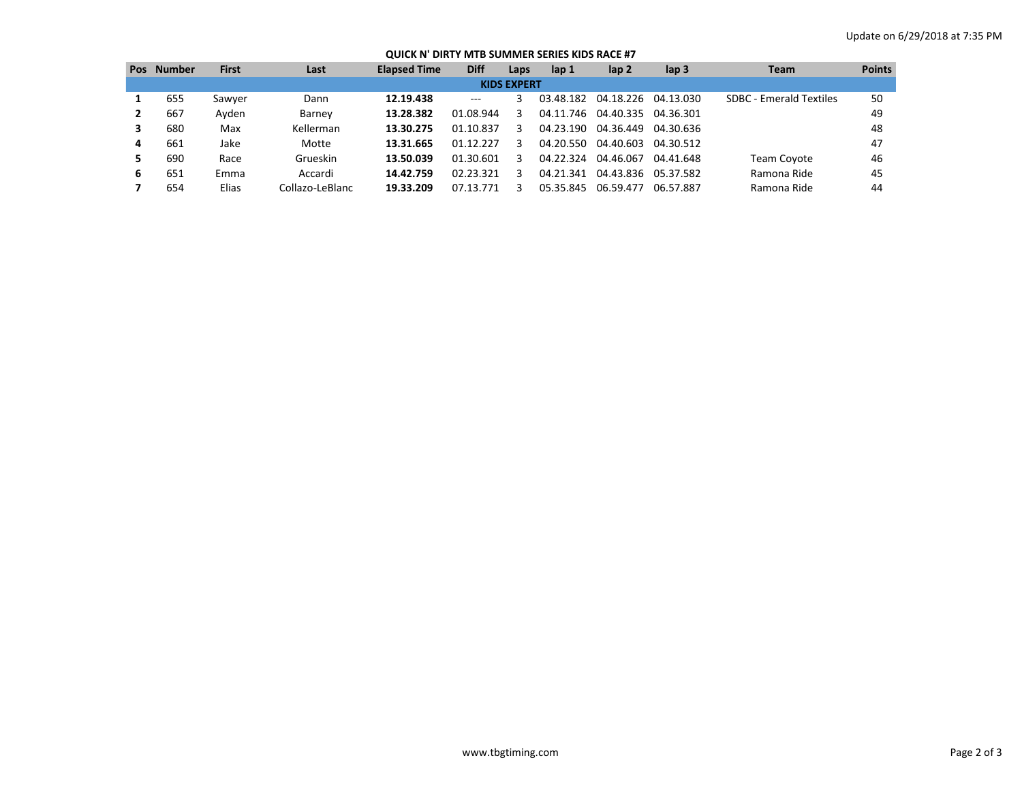## **QUICK N' DIRTY MTB SUMMER SERIES KIDS RACE #7**

| <b>Pos</b>         | <b>Number</b> | First  | Last            | <b>Elapsed Time</b> | <b>Diff</b> | Laps | lap <sub>1</sub> | lap <sub>2</sub> | lap <sub>3</sub> | Team                           | <b>Points</b> |
|--------------------|---------------|--------|-----------------|---------------------|-------------|------|------------------|------------------|------------------|--------------------------------|---------------|
| <b>KIDS EXPERT</b> |               |        |                 |                     |             |      |                  |                  |                  |                                |               |
|                    | 655           | Sawver | Dann            | 12.19.438           | $---$       |      | 03.48.182        | 04.18.226        | 04.13.030        | <b>SDBC - Emerald Textiles</b> | 50            |
|                    | 667           | Avden  | Barney          | 13.28.382           | 01.08.944   | 3    | 04.11.746        | 04.40.335        | 04.36.301        |                                | 49            |
|                    | 680           | Max    | Kellerman       | 13.30.275           | 01.10.837   | 3    | 04.23.190        | 04.36.449        | 04.30.636        |                                | 48            |
| 4                  | 661           | Jake   | Motte           | 13.31.665           | 01.12.227   | 3    | 04.20.550        | 04.40.603        | 04.30.512        |                                | 47            |
|                    | 690           | Race   | Grueskin        | 13.50.039           | 01.30.601   | 3    | 04.22.324        | 04.46.067        | 04.41.648        | <b>Team Coyote</b>             | 46            |
| 6                  | 651           | Emma   | Accardi         | 14.42.759           | 02.23.321   | 3    | 04.21.341        | 04.43.836        | 05.37.582        | Ramona Ride                    | 45            |
|                    | 654           | Elias  | Collazo-LeBlanc | 19.33.209           | 07.13.771   | 3    | 05.35.845        | 06.59.477        | 06.57.887        | Ramona Ride                    | 44            |